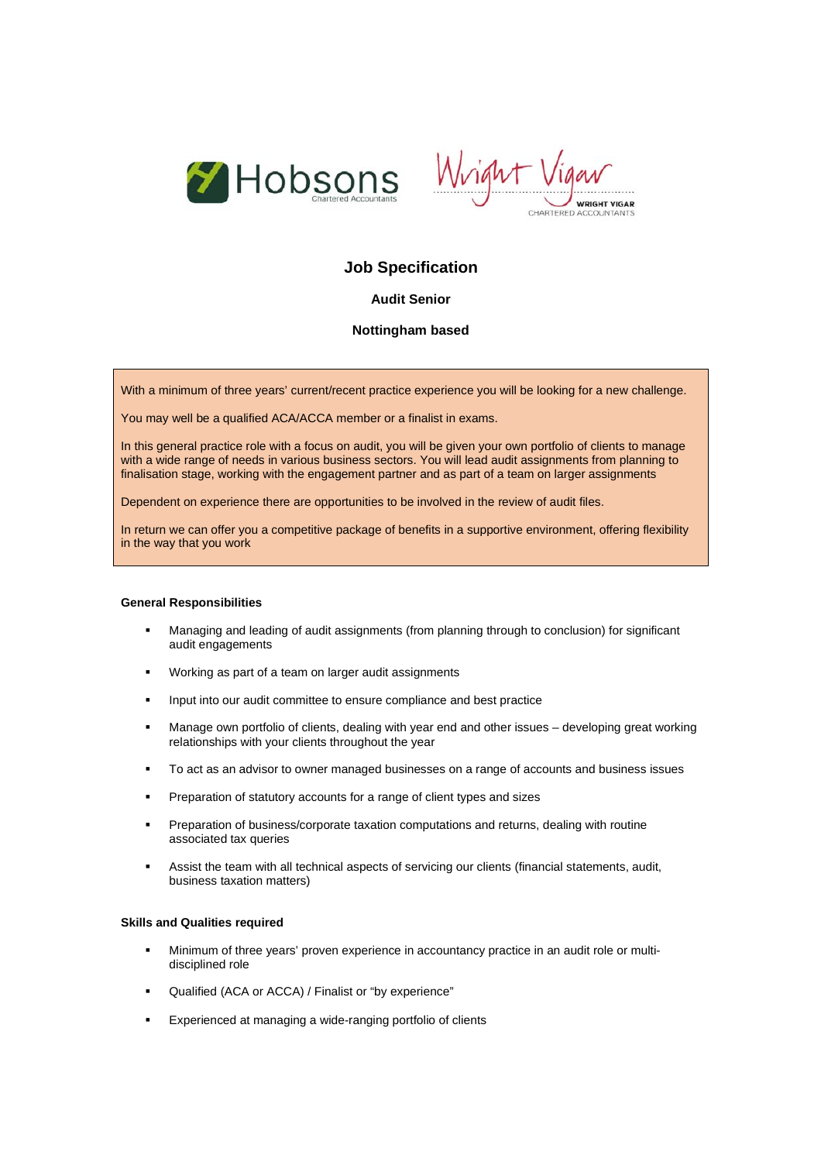



# **Job Specification**

## **Audit Senior**

## **Nottingham based**

With a minimum of three years' current/recent practice experience you will be looking for a new challenge.

You may well be a qualified ACA/ACCA member or a finalist in exams.

In this general practice role with a focus on audit, you will be given your own portfolio of clients to manage with a wide range of needs in various business sectors. You will lead audit assignments from planning to finalisation stage, working with the engagement partner and as part of a team on larger assignments

Dependent on experience there are opportunities to be involved in the review of audit files.

In return we can offer you a competitive package of benefits in a supportive environment, offering flexibility in the way that you work

### **General Responsibilities**

- Managing and leading of audit assignments (from planning through to conclusion) for significant audit engagements
- Working as part of a team on larger audit assignments
- **Input into our audit committee to ensure compliance and best practice**
- Manage own portfolio of clients, dealing with year end and other issues developing great working relationships with your clients throughout the year
- **To act as an advisor to owner managed businesses on a range of accounts and business issues**
- **Preparation of statutory accounts for a range of client types and sizes**
- Preparation of business/corporate taxation computations and returns, dealing with routine associated tax queries
- Assist the team with all technical aspects of servicing our clients (financial statements, audit, business taxation matters)

#### **Skills and Qualities required**

- Minimum of three years' proven experience in accountancy practice in an audit role or multidisciplined role
- Qualified (ACA or ACCA) / Finalist or "by experience"
- **Experienced at managing a wide-ranging portfolio of clients**